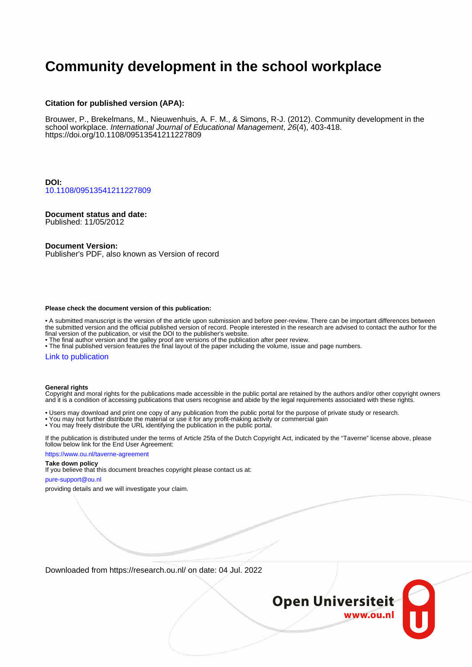## **Community development in the school workplace**

#### **Citation for published version (APA):**

Brouwer, P., Brekelmans, M., Nieuwenhuis, A. F. M., & Simons, R-J. (2012). Community development in the school workplace. International Journal of Educational Management, 26(4), 403-418. <https://doi.org/10.1108/09513541211227809>

**DOI:** [10.1108/09513541211227809](https://doi.org/10.1108/09513541211227809)

#### **Document status and date:**

Published: 11/05/2012

#### **Document Version:**

Publisher's PDF, also known as Version of record

#### **Please check the document version of this publication:**

• A submitted manuscript is the version of the article upon submission and before peer-review. There can be important differences between the submitted version and the official published version of record. People interested in the research are advised to contact the author for the final version of the publication, or visit the DOI to the publisher's website.

• The final author version and the galley proof are versions of the publication after peer review.

• The final published version features the final layout of the paper including the volume, issue and page numbers.

#### [Link to publication](https://research.ou.nl/en/publications/d9d255e7-00cf-4169-b93e-39a4252eda8d)

#### **General rights**

Copyright and moral rights for the publications made accessible in the public portal are retained by the authors and/or other copyright owners and it is a condition of accessing publications that users recognise and abide by the legal requirements associated with these rights.

- Users may download and print one copy of any publication from the public portal for the purpose of private study or research.
- You may not further distribute the material or use it for any profit-making activity or commercial gain
- You may freely distribute the URL identifying the publication in the public portal.

If the publication is distributed under the terms of Article 25fa of the Dutch Copyright Act, indicated by the "Taverne" license above, please follow below link for the End User Agreement:

#### https://www.ou.nl/taverne-agreement

#### **Take down policy**

If you believe that this document breaches copyright please contact us at:

#### pure-support@ou.nl

providing details and we will investigate your claim.

Downloaded from https://research.ou.nl/ on date: 04 Jul. 2022

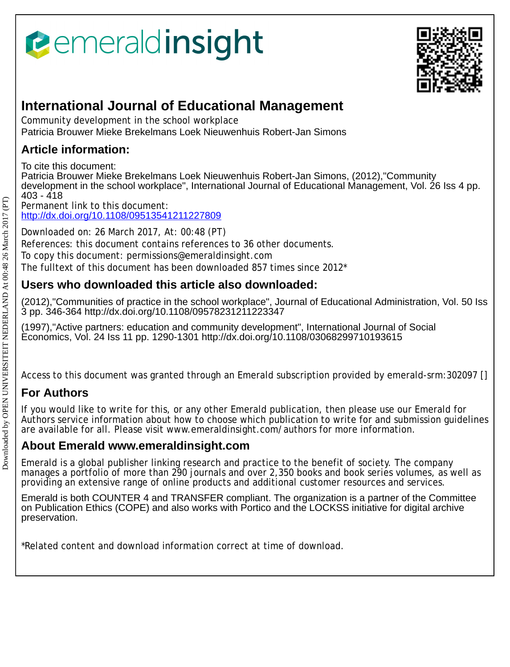# *<u><b>e*emeraldinsight</u>



## **International Journal of Educational Management**

Community development in the school workplace Patricia Brouwer Mieke Brekelmans Loek Nieuwenhuis Robert-Jan Simons

## **Article information:**

To cite this document:

Patricia Brouwer Mieke Brekelmans Loek Nieuwenhuis Robert-Jan Simons, (2012),"Community development in the school workplace", International Journal of Educational Management, Vol. 26 Iss 4 pp. 403 - 418

Permanent link to this document: <http://dx.doi.org/10.1108/09513541211227809>

Downloaded on: 26 March 2017, At: 00:48 (PT) References: this document contains references to 36 other documents. To copy this document: permissions@emeraldinsight.com The fulltext of this document has been downloaded 857 times since 2012\*

## **Users who downloaded this article also downloaded:**

(2012),"Communities of practice in the school workplace", Journal of Educational Administration, Vol. 50 Iss 3 pp. 346-364 http://dx.doi.org/10.1108/09578231211223347

(1997),"Active partners: education and community development", International Journal of Social Economics, Vol. 24 Iss 11 pp. 1290-1301 http://dx.doi.org/10.1108/03068299710193615

Access to this document was granted through an Emerald subscription provided by emerald-srm:302097 []

## **For Authors**

If you would like to write for this, or any other Emerald publication, then please use our Emerald for Authors service information about how to choose which publication to write for and submission guidelines are available for all. Please visit www.emeraldinsight.com/authors for more information.

### **About Emerald www.emeraldinsight.com**

Emerald is a global publisher linking research and practice to the benefit of society. The company manages a portfolio of more than 290 journals and over 2,350 books and book series volumes, as well as providing an extensive range of online products and additional customer resources and services.

Emerald is both COUNTER 4 and TRANSFER compliant. The organization is a partner of the Committee on Publication Ethics (COPE) and also works with Portico and the LOCKSS initiative for digital archive preservation.

\*Related content and download information correct at time of download.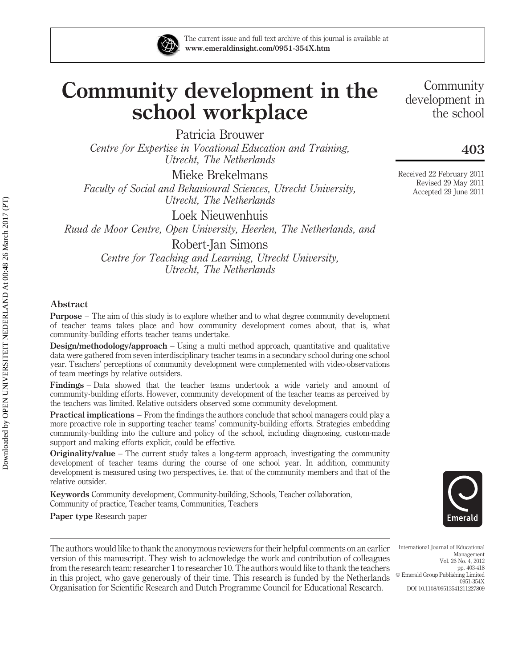

The current issue and full text archive of this journal is available at www.emeraldinsight.com/0951-354X.htm

# Community development in the school workplace

Patricia Brouwer

Centre for Expertise in Vocational Education and Training, Utrecht, The Netherlands

Mieke Brekelmans Faculty of Social and Behavioural Sciences, Utrecht University, Utrecht, The Netherlands

Loek Nieuwenhuis Ruud de Moor Centre, Open University, Heerlen, The Netherlands, and

> Robert-Jan Simons Centre for Teaching and Learning, Utrecht University, Utrecht, The Netherlands

#### Abstract

Purpose – The aim of this study is to explore whether and to what degree community development of teacher teams takes place and how community development comes about, that is, what community-building efforts teacher teams undertake.

Design/methodology/approach – Using a multi method approach, quantitative and qualitative data were gathered from seven interdisciplinary teacher teams in a secondary school during one school year. Teachers' perceptions of community development were complemented with video-observations of team meetings by relative outsiders.

Findings – Data showed that the teacher teams undertook a wide variety and amount of community-building efforts. However, community development of the teacher teams as perceived by the teachers was limited. Relative outsiders observed some community development.

Practical implications – From the findings the authors conclude that school managers could play a more proactive role in supporting teacher teams' community-building efforts. Strategies embedding community-building into the culture and policy of the school, including diagnosing, custom-made support and making efforts explicit, could be effective.

Originality/value – The current study takes a long-term approach, investigating the community development of teacher teams during the course of one school year. In addition, community development is measured using two perspectives, i.e. that of the community members and that of the relative outsider.

Keywords Community development, Community-building, Schools, Teacher collaboration, Community of practice, Teacher teams, Communities, Teachers

Paper type Research paper

The authors would like to thank the anonymous reviewers for their helpful comments on an earlier version of this manuscript. They wish to acknowledge the work and contribution of colleagues from the research team: researcher 1 to researcher 10. The authors would like to thank the teachers in this project, who gave generously of their time. This research is funded by the Netherlands Organisation for Scientific Research and Dutch Programme Council for Educational Research.

International Journal of Educational Management Vol. 26 No. 4, 2012 pp. 403-418  $©$  Emerald Group Publishing Limited 0951-354X DOI 10.1108/09513541211227809

Emerald

Community development in the school

#### 403

Received 22 February 2011 Revised 29 May 2011 Accepted 29 June 2011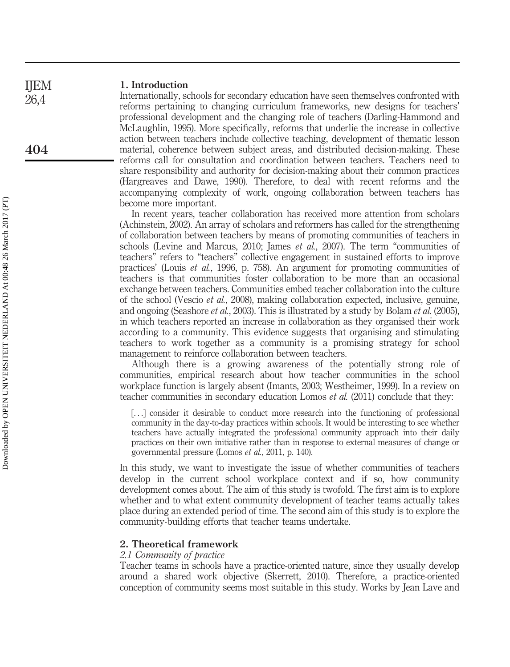#### 1. Introduction

Internationally, schools for secondary education have seen themselves confronted with reforms pertaining to changing curriculum frameworks, new designs for teachers' professional development and the changing role of teachers (Darling-Hammond and McLaughlin, 1995). More specifically, reforms that underlie the increase in collective action between teachers include collective teaching, development of thematic lesson material, coherence between subject areas, and distributed decision-making. These reforms call for consultation and coordination between teachers. Teachers need to share responsibility and authority for decision-making about their common practices (Hargreaves and Dawe, 1990). Therefore, to deal with recent reforms and the accompanying complexity of work, ongoing collaboration between teachers has become more important.

In recent years, teacher collaboration has received more attention from scholars (Achinstein, 2002). An array of scholars and reformers has called for the strengthening of collaboration between teachers by means of promoting communities of teachers in schools (Levine and Marcus, 2010; James et al., 2007). The term "communities of teachers" refers to "teachers" collective engagement in sustained efforts to improve practices' (Louis et al., 1996, p. 758). An argument for promoting communities of teachers is that communities foster collaboration to be more than an occasional exchange between teachers. Communities embed teacher collaboration into the culture of the school (Vescio et al., 2008), making collaboration expected, inclusive, genuine, and ongoing (Seashore et al., 2003). This is illustrated by a study by Bolam et al. (2005), in which teachers reported an increase in collaboration as they organised their work according to a community. This evidence suggests that organising and stimulating teachers to work together as a community is a promising strategy for school management to reinforce collaboration between teachers.

Although there is a growing awareness of the potentially strong role of communities, empirical research about how teacher communities in the school workplace function is largely absent (Imants, 2003; Westheimer, 1999). In a review on teacher communities in secondary education Lomos et al. (2011) conclude that they:

[...] consider it desirable to conduct more research into the functioning of professional community in the day-to-day practices within schools. It would be interesting to see whether teachers have actually integrated the professional community approach into their daily practices on their own initiative rather than in response to external measures of change or governmental pressure (Lomos et al., 2011, p. 140).

In this study, we want to investigate the issue of whether communities of teachers develop in the current school workplace context and if so, how community development comes about. The aim of this study is twofold. The first aim is to explore whether and to what extent community development of teacher teams actually takes place during an extended period of time. The second aim of this study is to explore the community-building efforts that teacher teams undertake.

#### 2. Theoretical framework

#### 2.1 Community of practice

Teacher teams in schools have a practice-oriented nature, since they usually develop around a shared work objective (Skerrett, 2010). Therefore, a practice-oriented conception of community seems most suitable in this study. Works by Jean Lave and

IJEM 26,4

404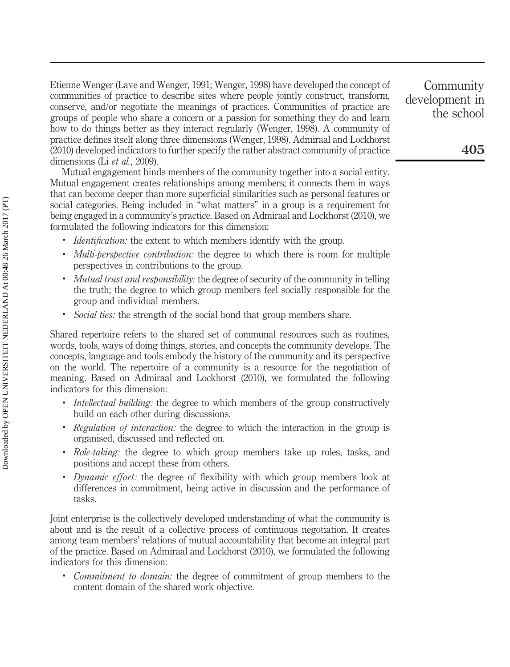Etienne Wenger (Lave and Wenger, 1991; Wenger, 1998) have developed the concept of communities of practice to describe sites where people jointly construct, transform, conserve, and/or negotiate the meanings of practices. Communities of practice are groups of people who share a concern or a passion for something they do and learn how to do things better as they interact regularly (Wenger, 1998). A community of practice defines itself along three dimensions (Wenger, 1998). Admiraal and Lockhorst (2010) developed indicators to further specify the rather abstract community of practice dimensions (Li *et al.*, 2009).

Mutual engagement binds members of the community together into a social entity. Mutual engagement creates relationships among members; it connects them in ways that can become deeper than more superficial similarities such as personal features or social categories. Being included in "what matters" in a group is a requirement for being engaged in a community's practice. Based on Admiraal and Lockhorst (2010), we formulated the following indicators for this dimension:

- . Identification: the extent to which members identify with the group.
- . Multi-perspective contribution: the degree to which there is room for multiple perspectives in contributions to the group.
- . Mutual trust and responsibility: the degree of security of the community in telling the truth; the degree to which group members feel socially responsible for the group and individual members.
- Social ties: the strength of the social bond that group members share.

Shared repertoire refers to the shared set of communal resources such as routines, words, tools, ways of doing things, stories, and concepts the community develops. The concepts, language and tools embody the history of the community and its perspective on the world. The repertoire of a community is a resource for the negotiation of meaning. Based on Admiraal and Lockhorst (2010), we formulated the following indicators for this dimension:

- . Intellectual building: the degree to which members of the group constructively build on each other during discussions.
- Regulation of interaction: the degree to which the interaction in the group is organised, discussed and reflected on.
- *Role-taking*: the degree to which group members take up roles, tasks, and positions and accept these from others.
- . Dynamic effort: the degree of flexibility with which group members look at differences in commitment, being active in discussion and the performance of tasks.

Joint enterprise is the collectively developed understanding of what the community is about and is the result of a collective process of continuous negotiation. It creates among team members' relations of mutual accountability that become an integral part of the practice. Based on Admiraal and Lockhorst (2010), we formulated the following indicators for this dimension:

. Commitment to domain: the degree of commitment of group members to the content domain of the shared work objective.

**Community** development in the school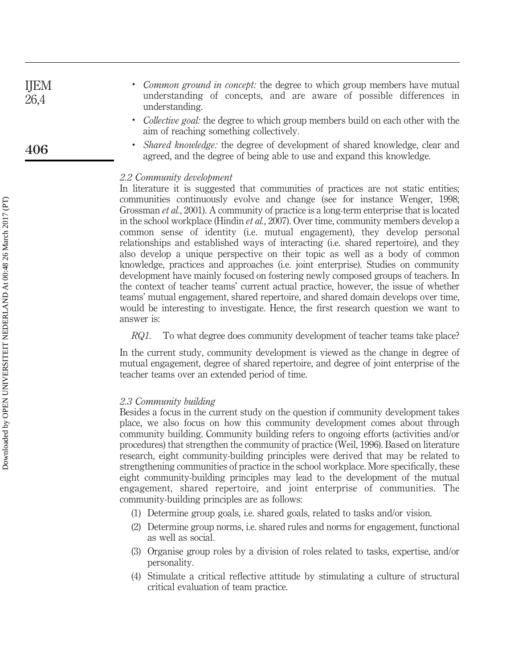| <b>IJEM</b><br>26,4 | • <i>Common ground in concept</i> : the degree to which group members have mutual<br>understanding of concepts, and are aware of possible differences in<br>understanding. |
|---------------------|----------------------------------------------------------------------------------------------------------------------------------------------------------------------------|
|                     | • <i>Collective goal:</i> the degree to which group members build on each other with the<br>aim of reaching something collectively.                                        |
| 406                 | • <i>Shared knowledge:</i> the degree of development of shared knowledge, clear and<br>agreed, and the degree of being able to use and expand this knowledge.              |

#### 2.2 Community development

In literature it is suggested that communities of practices are not static entities; communities continuously evolve and change (see for instance Wenger, 1998; Grossman et al., 2001). A community of practice is a long-term enterprise that is located in the school workplace (Hindin et al., 2007). Over time, community members develop a common sense of identity (i.e. mutual engagement), they develop personal relationships and established ways of interacting (i.e. shared repertoire), and they also develop a unique perspective on their topic as well as a body of common knowledge, practices and approaches (i.e. joint enterprise). Studies on community development have mainly focused on fostering newly composed groups of teachers. In the context of teacher teams' current actual practice, however, the issue of whether teams' mutual engagement, shared repertoire, and shared domain develops over time, would be interesting to investigate. Hence, the first research question we want to answer is:

RQ1. To what degree does community development of teacher teams take place?

In the current study, community development is viewed as the change in degree of mutual engagement, degree of shared repertoire, and degree of joint enterprise of the teacher teams over an extended period of time.

#### 2.3 Community building

Besides a focus in the current study on the question if community development takes place, we also focus on how this community development comes about through community building. Community building refers to ongoing efforts (activities and/or procedures) that strengthen the community of practice (Weil, 1996). Based on literature research, eight community-building principles were derived that may be related to strengthening communities of practice in the school workplace. More specifically, these eight community-building principles may lead to the development of the mutual engagement, shared repertoire, and joint enterprise of communities. The community-building principles are as follows:

- (1) Determine group goals, i.e. shared goals, related to tasks and/or vision.
- (2) Determine group norms, i.e. shared rules and norms for engagement, functional as well as social.
- (3) Organise group roles by a division of roles related to tasks, expertise, and/or personality.
- (4) Stimulate a critical reflective attitude by stimulating a culture of structural critical evaluation of team practice.

III.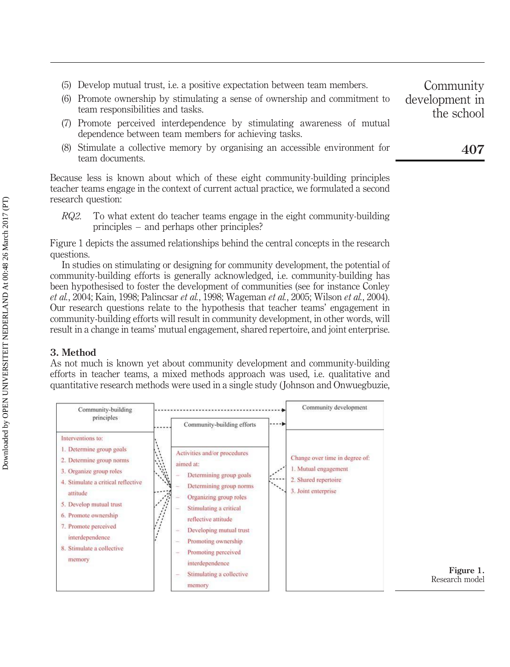- (5) Develop mutual trust, i.e. a positive expectation between team members.
- (6) Promote ownership by stimulating a sense of ownership and commitment to team responsibilities and tasks.
- (7) Promote perceived interdependence by stimulating awareness of mutual dependence between team members for achieving tasks.
- (8) Stimulate a collective memory by organising an accessible environment for team documents.

Because less is known about which of these eight community-building principles teacher teams engage in the context of current actual practice, we formulated a second research question:

RQ2. To what extent do teacher teams engage in the eight community-building principles – and perhaps other principles?

Figure 1 depicts the assumed relationships behind the central concepts in the research questions.

In studies on stimulating or designing for community development, the potential of community-building efforts is generally acknowledged, i.e. community-building has been hypothesised to foster the development of communities (see for instance Conley et al., 2004; Kain, 1998; Palincsar et al., 1998; Wageman et al., 2005; Wilson et al., 2004). Our research questions relate to the hypothesis that teacher teams' engagement in community-building efforts will result in community development, in other words, will result in a change in teams' mutual engagement, shared repertoire, and joint enterprise.

#### 3. Method

As not much is known yet about community development and community-building efforts in teacher teams, a mixed methods approach was used, i.e. qualitative and quantitative research methods were used in a single study (Johnson and Onwuegbuzie,



**Community** development in the school

Figure 1. Research model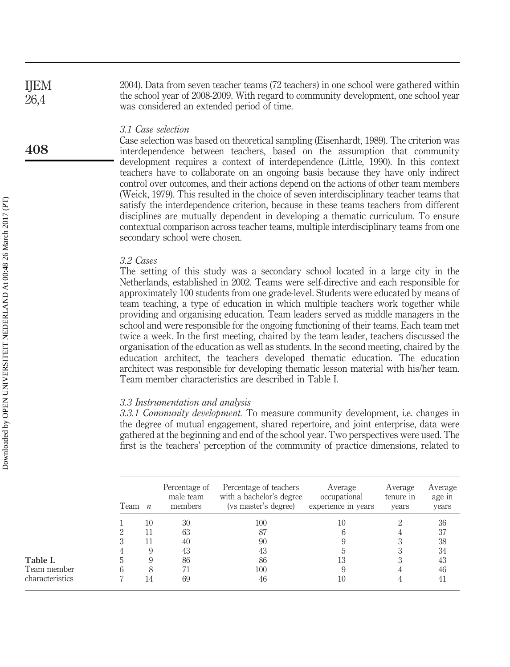2004). Data from seven teacher teams (72 teachers) in one school were gathered within the school year of 2008-2009. With regard to community development, one school year was considered an extended period of time.

#### 3.1 Case selection

Case selection was based on theoretical sampling (Eisenhardt, 1989). The criterion was interdependence between teachers, based on the assumption that community development requires a context of interdependence (Little, 1990). In this context teachers have to collaborate on an ongoing basis because they have only indirect control over outcomes, and their actions depend on the actions of other team members (Weick, 1979). This resulted in the choice of seven interdisciplinary teacher teams that satisfy the interdependence criterion, because in these teams teachers from different disciplines are mutually dependent in developing a thematic curriculum. To ensure contextual comparison across teacher teams, multiple interdisciplinary teams from one secondary school were chosen.

#### 3.2 Cases

The setting of this study was a secondary school located in a large city in the Netherlands, established in 2002. Teams were self-directive and each responsible for approximately 100 students from one grade-level. Students were educated by means of team teaching, a type of education in which multiple teachers work together while providing and organising education. Team leaders served as middle managers in the school and were responsible for the ongoing functioning of their teams. Each team met twice a week. In the first meeting, chaired by the team leader, teachers discussed the organisation of the education as well as students. In the second meeting, chaired by the education architect, the teachers developed thematic education. The education architect was responsible for developing thematic lesson material with his/her team. Team member characteristics are described in Table I.

#### 3.3 Instrumentation and analysis

3.3.1 Community development. To measure community development, i.e. changes in the degree of mutual engagement, shared repertoire, and joint enterprise, data were gathered at the beginning and end of the school year. Two perspectives were used. The first is the teachers' perception of the community of practice dimensions, related to

|          | Team $n$ |    | Percentage of<br>male team<br>members | Percentage of teachers<br>with a bachelor's degree<br>(vs master's degree) | Average<br>occupational<br>experience in years | Average<br>tenure in<br>years | Average<br>age in<br>years |
|----------|----------|----|---------------------------------------|----------------------------------------------------------------------------|------------------------------------------------|-------------------------------|----------------------------|
|          |          | 10 | 30                                    | 100                                                                        | 10                                             |                               | 36                         |
|          |          | 11 | 63                                    | 87                                                                         |                                                |                               | 37                         |
|          |          | 11 | 40                                    | 90                                                                         |                                                |                               | 38                         |
|          |          | 9  | 43                                    | 43                                                                         |                                                | 3                             | 34                         |
| I.       |          |    | 86                                    | 86                                                                         | 13                                             |                               | 43                         |
| nember   | n        |    |                                       | 100                                                                        |                                                |                               | 46                         |
| eristics |          | l4 | 69                                    | 46                                                                         | 10                                             |                               |                            |
|          |          |    |                                       |                                                                            |                                                |                               |                            |

IJEM 26,4

**Table** Team 1 charact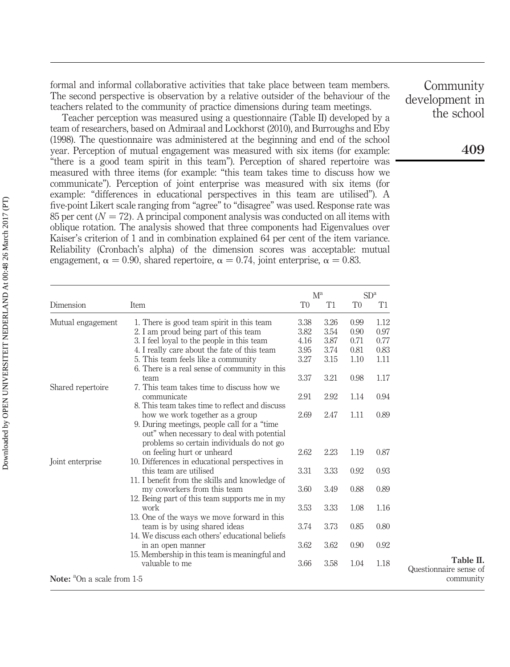formal and informal collaborative activities that take place between team members. The second perspective is observation by a relative outsider of the behaviour of the teachers related to the community of practice dimensions during team meetings.

Teacher perception was measured using a questionnaire (Table II) developed by a team of researchers, based on Admiraal and Lockhorst (2010), and Burroughs and Eby (1998). The questionnaire was administered at the beginning and end of the school year. Perception of mutual engagement was measured with six items (for example: "there is a good team spirit in this team"). Perception of shared repertoire was measured with three items (for example: "this team takes time to discuss how we communicate"). Perception of joint enterprise was measured with six items (for example: "differences in educational perspectives in this team are utilised"). A five-point Likert scale ranging from "agree" to "disagree" was used. Response rate was 85 per cent  $(N = 72)$ . A principal component analysis was conducted on all items with oblique rotation. The analysis showed that three components had Eigenvalues over Kaiser's criterion of 1 and in combination explained 64 per cent of the item variance. Reliability (Cronbach's alpha) of the dimension scores was acceptable: mutual engagement,  $\alpha = 0.90$ , shared repertoire,  $\alpha = 0.74$ , joint enterprise,  $\alpha = 0.83$ .

Community development in the school

|--|

|                                               |                                                                                         | $M^a$          |      |                | SD <sup>a</sup> |                                     |
|-----------------------------------------------|-----------------------------------------------------------------------------------------|----------------|------|----------------|-----------------|-------------------------------------|
| Dimension                                     | Item                                                                                    | T <sub>0</sub> | T1   | T <sub>0</sub> | T1              |                                     |
| Mutual engagement                             | 1. There is good team spirit in this team                                               | 3.38           | 3.26 | 0.99           | 1.12            |                                     |
|                                               | 2. I am proud being part of this team                                                   | 3.82           | 3.54 | 0.90           | 0.97            |                                     |
|                                               | 3. I feel loyal to the people in this team                                              | 4.16           | 3.87 | 0.71           | 0.77            |                                     |
|                                               | 4. I really care about the fate of this team                                            | 3.95           | 3.74 | 0.81           | 0.83            |                                     |
|                                               | 5. This team feels like a community<br>6. There is a real sense of community in this    | 3.27           | 3.15 | 1.10           | 1.11            |                                     |
| Shared repertoire                             | team<br>7. This team takes time to discuss how we                                       | 3.37           | 3.21 | 0.98           | 1.17            |                                     |
|                                               | communicate<br>8. This team takes time to reflect and discuss                           | 2.91           | 2.92 | 1.14           | 0.94            |                                     |
|                                               | how we work together as a group<br>9. During meetings, people call for a "time"         | 2.69           | 2.47 | 1.11           | 0.89            |                                     |
|                                               | out" when necessary to deal with potential<br>problems so certain individuals do not go |                |      |                |                 |                                     |
| Joint enterprise                              | on feeling hurt or unheard<br>10. Differences in educational perspectives in            | 2.62           | 2.23 | 1.19           | 0.87            |                                     |
|                                               | this team are utilised<br>11. I benefit from the skills and knowledge of                | 3.31           | 3.33 | 0.92           | 0.93            |                                     |
|                                               | my coworkers from this team<br>12. Being part of this team supports me in my            | 3.60           | 3.49 | 0.88           | 0.89            |                                     |
|                                               | work                                                                                    | 3.53           | 3.33 | 1.08           | 1.16            |                                     |
|                                               | 13. One of the ways we move forward in this<br>team is by using shared ideas            | 3.74           | 3.73 | 0.85           | 0.80            |                                     |
|                                               | 14. We discuss each others' educational beliefs<br>in an open manner                    | 3.62           | 3.62 | 0.90           | 0.92            |                                     |
|                                               | 15. Membership in this team is meaningful and<br>valuable to me                         | 3.66           | 3.58 | 1.04           | 1.18            | Table II.<br>Questionnaire sense of |
| <b>Note:</b> <sup>a</sup> On a scale from 1-5 |                                                                                         |                |      |                |                 | community                           |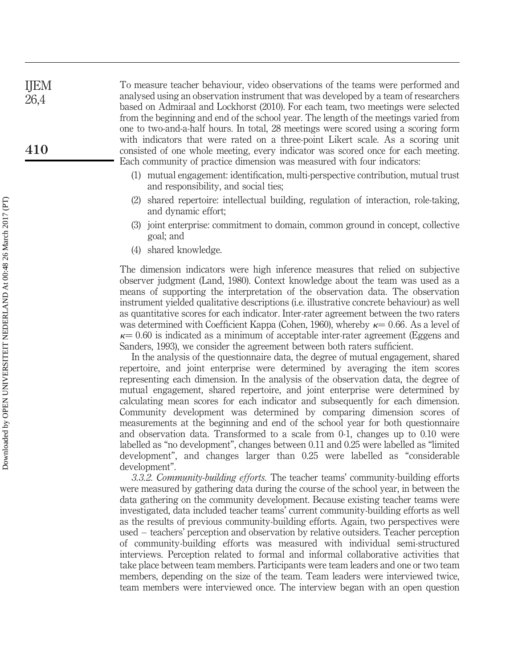To measure teacher behaviour, video observations of the teams were performed and analysed using an observation instrument that was developed by a team of researchers based on Admiraal and Lockhorst (2010). For each team, two meetings were selected from the beginning and end of the school year. The length of the meetings varied from one to two-and-a-half hours. In total, 28 meetings were scored using a scoring form with indicators that were rated on a three-point Likert scale. As a scoring unit consisted of one whole meeting, every indicator was scored once for each meeting. Each community of practice dimension was measured with four indicators:

- (1) mutual engagement: identification, multi-perspective contribution, mutual trust and responsibility, and social ties;
- (2) shared repertoire: intellectual building, regulation of interaction, role-taking, and dynamic effort;
- (3) joint enterprise: commitment to domain, common ground in concept, collective goal; and
- (4) shared knowledge.

The dimension indicators were high inference measures that relied on subjective observer judgment (Land, 1980). Context knowledge about the team was used as a means of supporting the interpretation of the observation data. The observation instrument yielded qualitative descriptions (i.e. illustrative concrete behaviour) as well as quantitative scores for each indicator. Inter-rater agreement between the two raters was determined with Coefficient Kappa (Cohen, 1960), whereby  $\kappa$  = 0.66. As a level of  $\kappa$  = 0.60 is indicated as a minimum of acceptable inter-rater agreement (Eggens and Sanders, 1993), we consider the agreement between both raters sufficient.

In the analysis of the questionnaire data, the degree of mutual engagement, shared repertoire, and joint enterprise were determined by averaging the item scores representing each dimension. In the analysis of the observation data, the degree of mutual engagement, shared repertoire, and joint enterprise were determined by calculating mean scores for each indicator and subsequently for each dimension. Community development was determined by comparing dimension scores of measurements at the beginning and end of the school year for both questionnaire and observation data. Transformed to a scale from 0-1, changes up to 0.10 were labelled as "no development", changes between 0.11 and 0.25 were labelled as "limited development", and changes larger than 0.25 were labelled as "considerable development".

3.3.2. Community-building efforts. The teacher teams' community-building efforts were measured by gathering data during the course of the school year, in between the data gathering on the community development. Because existing teacher teams were investigated, data included teacher teams' current community-building efforts as well as the results of previous community-building efforts. Again, two perspectives were used – teachers' perception and observation by relative outsiders. Teacher perception of community-building efforts was measured with individual semi-structured interviews. Perception related to formal and informal collaborative activities that take place between team members. Participants were team leaders and one or two team members, depending on the size of the team. Team leaders were interviewed twice, team members were interviewed once. The interview began with an open question

IJEM 26,4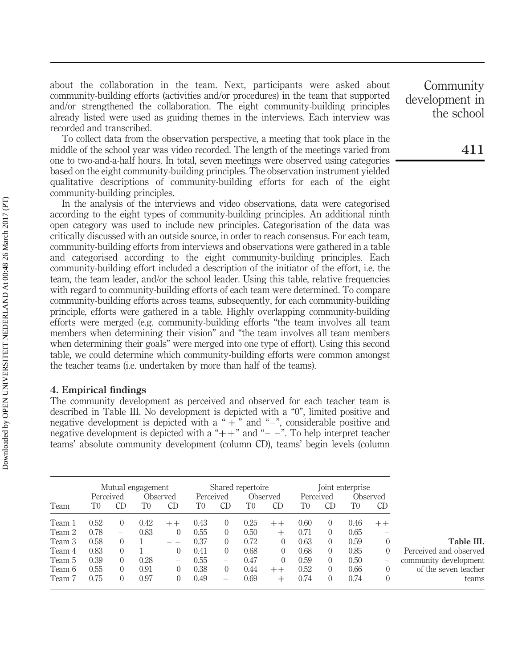about the collaboration in the team. Next, participants were asked about community-building efforts (activities and/or procedures) in the team that supported and/or strengthened the collaboration. The eight community-building principles already listed were used as guiding themes in the interviews. Each interview was recorded and transcribed.

To collect data from the observation perspective, a meeting that took place in the middle of the school year was video recorded. The length of the meetings varied from one to two-and-a-half hours. In total, seven meetings were observed using categories based on the eight community-building principles. The observation instrument yielded qualitative descriptions of community-building efforts for each of the eight community-building principles.

In the analysis of the interviews and video observations, data were categorised according to the eight types of community-building principles. An additional ninth open category was used to include new principles. Categorisation of the data was critically discussed with an outside source, in order to reach consensus. For each team, community-building efforts from interviews and observations were gathered in a table and categorised according to the eight community-building principles. Each community-building effort included a description of the initiator of the effort, i.e. the team, the team leader, and/or the school leader. Using this table, relative frequencies with regard to community-building efforts of each team were determined. To compare community-building efforts across teams, subsequently, for each community-building principle, efforts were gathered in a table. Highly overlapping community-building efforts were merged (e.g. community-building efforts "the team involves all team members when determining their vision" and "the team involves all team members when determining their goals" were merged into one type of effort). Using this second table, we could determine which community-building efforts were common amongst the teacher teams (i.e. undertaken by more than half of the teams).

#### 4. Empirical findings

The community development as perceived and observed for each teacher team is described in Table III. No development is depicted with a "0", limited positive and negative development is depicted with a " $+\overline{ }$ " and "-", considerable positive and negative development is depicted with a " $++$ " and " $-$ ". To help interpret teacher teams' absolute community development (column CD), teams' begin levels (column

|        | Mutual engagement<br>Observed<br>Perceived |                          |      |          | Shared repertoire<br>Observed<br>Perceived |                   |      |          | Joint enterprise<br>Observed<br>Perceived |          |      |          |                        |
|--------|--------------------------------------------|--------------------------|------|----------|--------------------------------------------|-------------------|------|----------|-------------------------------------------|----------|------|----------|------------------------|
| Team   | T0                                         | CD                       | T0   | CD       | T0                                         | CD                | T0   | CD.      | T0                                        | CD.      | T0   | CD       |                        |
| Team 1 | 0.52                                       | $\Omega$                 | 0.42 |          | 0.43                                       | $\Omega$          | 0.25 |          | 0.60                                      | $\Omega$ | 0.46 | $^{++}$  |                        |
| Team 2 | 0.78                                       | $\overline{\phantom{0}}$ | 0.83 | $\Omega$ | 0.55                                       | $\Omega$          | 0.50 | $^{+}$   | 0.71                                      | $\left($ | 0.65 |          |                        |
| Team 3 | 0.58                                       | $\left($                 |      |          | 0.37                                       | $\theta$          | 0.72 | $\theta$ | 0.63                                      | $\Omega$ | 0.59 | $\theta$ | Table III.             |
| Team 4 | 0.83                                       | $\left($                 |      | $\Omega$ | 0.41                                       | $\theta$          | 0.68 | $\Omega$ | 0.68                                      | $\Omega$ | 0.85 | 0        | Perceived and observed |
| Team 5 | 0.39                                       | $\Omega$                 | 0.28 | —        | 0.55                                       | $\qquad \qquad -$ | 0.47 | $\Omega$ | 0.59                                      | $\Omega$ | 0.50 |          | community development  |
| Team 6 | 0.55                                       | $\theta$                 | 0.91 | $\Omega$ | 0.38                                       | $\theta$          | 0.44 | $^{++}$  | 0.52                                      | $\Omega$ | 0.66 | $\Omega$ | of the seven teacher   |
| Team 7 | 0.75                                       | $\Omega$                 | 0.97 | $\theta$ | 0.49                                       | -                 | 0.69 | $^{+}$   | 0.74                                      | $\left($ | 0.74 | $\theta$ | teams                  |

**Community** development in the school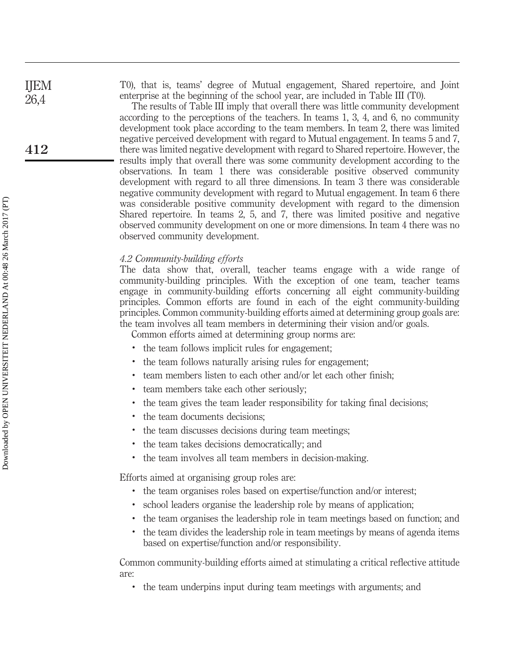T0), that is, teams' degree of Mutual engagement, Shared repertoire, and Joint enterprise at the beginning of the school year, are included in Table III (T0).

The results of Table III imply that overall there was little community development according to the perceptions of the teachers. In teams 1, 3, 4, and 6, no community development took place according to the team members. In team 2, there was limited negative perceived development with regard to Mutual engagement. In teams 5 and 7, there was limited negative development with regard to Shared repertoire. However, the results imply that overall there was some community development according to the observations. In team 1 there was considerable positive observed community development with regard to all three dimensions. In team 3 there was considerable negative community development with regard to Mutual engagement. In team 6 there was considerable positive community development with regard to the dimension Shared repertoire. In teams 2, 5, and 7, there was limited positive and negative observed community development on one or more dimensions. In team 4 there was no observed community development.

#### 4.2 Community-building efforts

The data show that, overall, teacher teams engage with a wide range of community-building principles. With the exception of one team, teacher teams engage in community-building efforts concerning all eight community-building principles. Common efforts are found in each of the eight community-building principles. Common community-building efforts aimed at determining group goals are: the team involves all team members in determining their vision and/or goals.

Common efforts aimed at determining group norms are:

- . the team follows implicit rules for engagement;
- . the team follows naturally arising rules for engagement;
- . team members listen to each other and/or let each other finish;
- . team members take each other seriously;
- . the team gives the team leader responsibility for taking final decisions;
- . the team documents decisions;
- . the team discusses decisions during team meetings;
- . the team takes decisions democratically; and
- . the team involves all team members in decision-making.

Efforts aimed at organising group roles are:

- . the team organises roles based on expertise/function and/or interest;
- . school leaders organise the leadership role by means of application;
- . the team organises the leadership role in team meetings based on function; and
- . the team divides the leadership role in team meetings by means of agenda items based on expertise/function and/or responsibility.

Common community-building efforts aimed at stimulating a critical reflective attitude are:

. the team underpins input during team meetings with arguments; and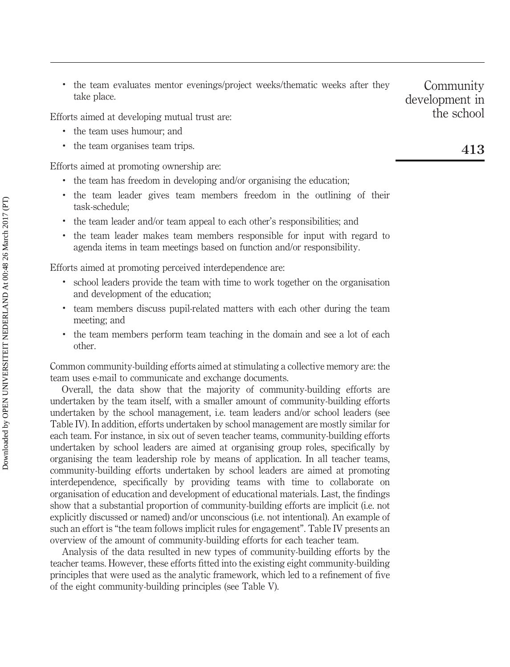. the team evaluates mentor evenings/project weeks/thematic weeks after they take place. development in

Efforts aimed at developing mutual trust are:

- . the team uses humour; and
- . the team organises team trips.

Efforts aimed at promoting ownership are:

- . the team has freedom in developing and/or organising the education;
- . the team leader gives team members freedom in the outlining of their task-schedule;
- . the team leader and/or team appeal to each other's responsibilities; and
- . the team leader makes team members responsible for input with regard to agenda items in team meetings based on function and/or responsibility.

Efforts aimed at promoting perceived interdependence are:

- . school leaders provide the team with time to work together on the organisation and development of the education;
- . team members discuss pupil-related matters with each other during the team meeting; and
- . the team members perform team teaching in the domain and see a lot of each other.

Common community-building efforts aimed at stimulating a collective memory are: the team uses e-mail to communicate and exchange documents.

Overall, the data show that the majority of community-building efforts are undertaken by the team itself, with a smaller amount of community-building efforts undertaken by the school management, i.e. team leaders and/or school leaders (see Table IV). In addition, efforts undertaken by school management are mostly similar for each team. For instance, in six out of seven teacher teams, community-building efforts undertaken by school leaders are aimed at organising group roles, specifically by organising the team leadership role by means of application. In all teacher teams, community-building efforts undertaken by school leaders are aimed at promoting interdependence, specifically by providing teams with time to collaborate on organisation of education and development of educational materials. Last, the findings show that a substantial proportion of community-building efforts are implicit (i.e. not explicitly discussed or named) and/or unconscious (i.e. not intentional). An example of such an effort is "the team follows implicit rules for engagement". Table IV presents an overview of the amount of community-building efforts for each teacher team.

Analysis of the data resulted in new types of community-building efforts by the teacher teams. However, these efforts fitted into the existing eight community-building principles that were used as the analytic framework, which led to a refinement of five of the eight community-building principles (see Table V).

**Community** 

the school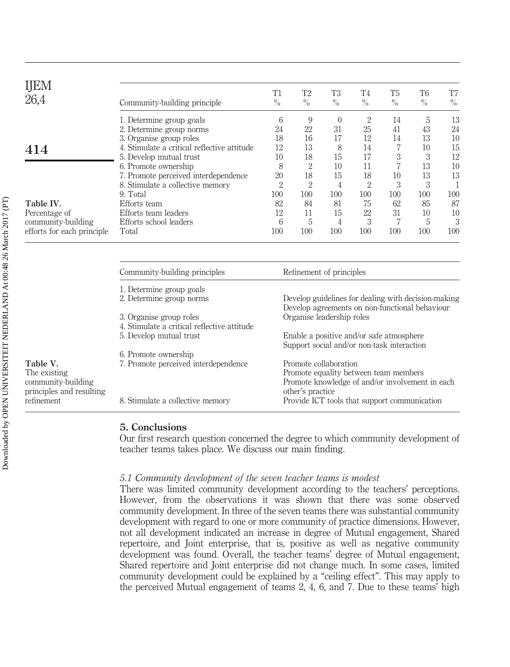| <b>IJEM</b>                                                                              | Community-building principle                                                                                                                                                                                                                                                              | T1                                                                                                                                                                                                                           | T <sub>2</sub> | T <sub>3</sub> | <b>T4</b>      | <b>T5</b>     | T <sub>6</sub> | T <sub>7</sub> |
|------------------------------------------------------------------------------------------|-------------------------------------------------------------------------------------------------------------------------------------------------------------------------------------------------------------------------------------------------------------------------------------------|------------------------------------------------------------------------------------------------------------------------------------------------------------------------------------------------------------------------------|----------------|----------------|----------------|---------------|----------------|----------------|
| 26,4                                                                                     |                                                                                                                                                                                                                                                                                           | $\frac{0}{0}$                                                                                                                                                                                                                | $\frac{0}{0}$  | $\frac{0}{0}$  | $\frac{0}{0}$  | $\frac{0}{0}$ | $\frac{0}{0}$  | $\frac{0}{0}$  |
| 414                                                                                      | 1. Determine group goals                                                                                                                                                                                                                                                                  | 6                                                                                                                                                                                                                            | 9              | $\Omega$       | $\overline{2}$ | 14            | 5              | 13             |
|                                                                                          | 2. Determine group norms                                                                                                                                                                                                                                                                  | 24                                                                                                                                                                                                                           | 22             | 31             | 25             | 41            | 43             | 24             |
|                                                                                          | 3. Organise group roles                                                                                                                                                                                                                                                                   | 18                                                                                                                                                                                                                           | 16             | 17             | 12             | 14            | 13             | 10             |
|                                                                                          | 4. Stimulate a critical reflective attitude                                                                                                                                                                                                                                               | 12                                                                                                                                                                                                                           | 13             | 8              | 14             | 7             | 10             | 15             |
|                                                                                          | 5. Develop mutual trust                                                                                                                                                                                                                                                                   | 10                                                                                                                                                                                                                           | 18             | 15             | 17             | 3             | 3              | 12             |
|                                                                                          | 6. Promote ownership                                                                                                                                                                                                                                                                      | 8                                                                                                                                                                                                                            | $\overline{2}$ | 10             | 11             | 7             | 13             | 10             |
|                                                                                          | 7. Promote perceived interdependence                                                                                                                                                                                                                                                      | 20                                                                                                                                                                                                                           | 18             | 15             | 18             | 10            | 13             | 13             |
|                                                                                          | 8. Stimulate a collective memory                                                                                                                                                                                                                                                          | $\overline{2}$                                                                                                                                                                                                               | $\overline{2}$ | $\overline{4}$ | $\overline{2}$ | 3             | 3              | $\overline{1}$ |
|                                                                                          | 9. Total                                                                                                                                                                                                                                                                                  | 100                                                                                                                                                                                                                          | 100            | 100            | 100            | 100           | 100            | 100            |
| Table IV.                                                                                | Efforts team                                                                                                                                                                                                                                                                              | 82                                                                                                                                                                                                                           | 84             | 81             | 75             | 62            | 85             | 87             |
| Percentage of                                                                            | Efforts team leaders                                                                                                                                                                                                                                                                      | 12                                                                                                                                                                                                                           | 11             | 15             | 22             | 31            | 10             | 10             |
| community-building                                                                       | Efforts school leaders                                                                                                                                                                                                                                                                    | 6                                                                                                                                                                                                                            | 5              | $\overline{4}$ | 3              | 7             | 5              | 3              |
| efforts for each principle                                                               | Total                                                                                                                                                                                                                                                                                     | 100                                                                                                                                                                                                                          | 100            | 100            | 100            | 100           | 100            | 100            |
|                                                                                          | Community-building principles<br>Refinement of principles                                                                                                                                                                                                                                 |                                                                                                                                                                                                                              |                |                |                |               |                |                |
|                                                                                          | 1. Determine group goals<br>2. Determine group norms<br>3. Organise group roles<br>4. Stimulate a critical reflective attitude<br>5. Develop mutual trust                                                                                                                                 | Develop guidelines for dealing with decision-making<br>Develop agreements on non-functional behaviour<br>Organise leadership roles<br>Enable a positive and/or safe atmosphere<br>Support social and/or non-task interaction |                |                |                |               |                |                |
| Table V.<br>The existing<br>community-building<br>principles and resulting<br>refinement | 6. Promote ownership<br>7. Promote perceived interdependence<br>Promote collaboration<br>Promote equality between team members<br>Promote knowledge of and/or involvement in each<br>other's practice<br>Provide ICT tools that support communication<br>8. Stimulate a collective memory |                                                                                                                                                                                                                              |                |                |                |               |                |                |

#### 5. Conclusions

Our first research question concerned the degree to which community development of teacher teams takes place. We discuss our main finding.

#### 5.1 Community development of the seven teacher teams is modest

There was limited community development according to the teachers' perceptions. However, from the observations it was shown that there was some observed community development. In three of the seven teams there was substantial community development with regard to one or more community of practice dimensions. However, not all development indicated an increase in degree of Mutual engagement, Shared repertoire, and Joint enterprise, that is, positive as well as negative community development was found. Overall, the teacher teams' degree of Mutual engagement, Shared repertoire and Joint enterprise did not change much. In some cases, limited community development could be explained by a "ceiling effect". This may apply to the perceived Mutual engagement of teams 2, 4, 6, and 7. Due to these teams' high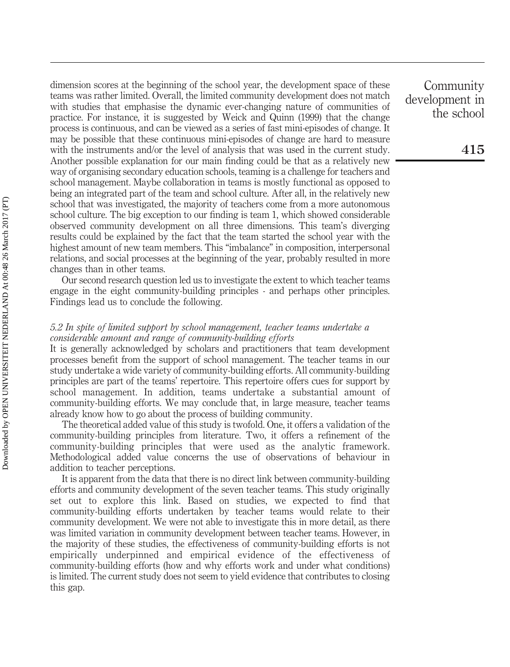dimension scores at the beginning of the school year, the development space of these teams was rather limited. Overall, the limited community development does not match with studies that emphasise the dynamic ever-changing nature of communities of practice. For instance, it is suggested by Weick and Quinn (1999) that the change process is continuous, and can be viewed as a series of fast mini-episodes of change. It may be possible that these continuous mini-episodes of change are hard to measure with the instruments and/or the level of analysis that was used in the current study. Another possible explanation for our main finding could be that as a relatively new way of organising secondary education schools, teaming is a challenge for teachers and school management. Maybe collaboration in teams is mostly functional as opposed to being an integrated part of the team and school culture. After all, in the relatively new school that was investigated, the majority of teachers come from a more autonomous school culture. The big exception to our finding is team 1, which showed considerable observed community development on all three dimensions. This team's diverging results could be explained by the fact that the team started the school year with the highest amount of new team members. This "imbalance" in composition, interpersonal relations, and social processes at the beginning of the year, probably resulted in more changes than in other teams.

Our second research question led us to investigate the extent to which teacher teams engage in the eight community-building principles - and perhaps other principles. Findings lead us to conclude the following.

#### 5.2 In spite of limited support by school management, teacher teams undertake a considerable amount and range of community-building efforts

It is generally acknowledged by scholars and practitioners that team development processes benefit from the support of school management. The teacher teams in our study undertake a wide variety of community-building efforts. All community-building principles are part of the teams' repertoire. This repertoire offers cues for support by school management. In addition, teams undertake a substantial amount of community-building efforts. We may conclude that, in large measure, teacher teams already know how to go about the process of building community.

The theoretical added value of this study is twofold. One, it offers a validation of the community-building principles from literature. Two, it offers a refinement of the community-building principles that were used as the analytic framework. Methodological added value concerns the use of observations of behaviour in addition to teacher perceptions.

It is apparent from the data that there is no direct link between community-building efforts and community development of the seven teacher teams. This study originally set out to explore this link. Based on studies, we expected to find that community-building efforts undertaken by teacher teams would relate to their community development. We were not able to investigate this in more detail, as there was limited variation in community development between teacher teams. However, in the majority of these studies, the effectiveness of community-building efforts is not empirically underpinned and empirical evidence of the effectiveness of community-building efforts (how and why efforts work and under what conditions) is limited. The current study does not seem to yield evidence that contributes to closing this gap.

**Community** development in the school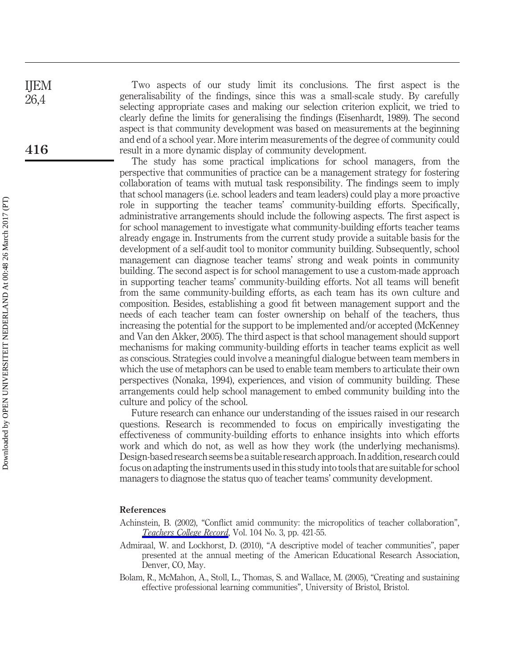Two aspects of our study limit its conclusions. The first aspect is the generalisability of the findings, since this was a small-scale study. By carefully selecting appropriate cases and making our selection criterion explicit, we tried to clearly define the limits for generalising the findings (Eisenhardt, 1989). The second aspect is that community development was based on measurements at the beginning and end of a school year. More interim measurements of the degree of community could result in a more dynamic display of community development.

The study has some practical implications for school managers, from the perspective that communities of practice can be a management strategy for fostering collaboration of teams with mutual task responsibility. The findings seem to imply that school managers (i.e. school leaders and team leaders) could play a more proactive role in supporting the teacher teams' community-building efforts. Specifically, administrative arrangements should include the following aspects. The first aspect is for school management to investigate what community-building efforts teacher teams already engage in. Instruments from the current study provide a suitable basis for the development of a self-audit tool to monitor community building. Subsequently, school management can diagnose teacher teams' strong and weak points in community building. The second aspect is for school management to use a custom-made approach in supporting teacher teams' community-building efforts. Not all teams will benefit from the same community-building efforts, as each team has its own culture and composition. Besides, establishing a good fit between management support and the needs of each teacher team can foster ownership on behalf of the teachers, thus increasing the potential for the support to be implemented and/or accepted (McKenney and Van den Akker, 2005). The third aspect is that school management should support mechanisms for making community-building efforts in teacher teams explicit as well as conscious. Strategies could involve a meaningful dialogue between team members in which the use of metaphors can be used to enable team members to articulate their own perspectives (Nonaka, 1994), experiences, and vision of community building. These arrangements could help school management to embed community building into the culture and policy of the school.

Future research can enhance our understanding of the issues raised in our research questions. Research is recommended to focus on empirically investigating the effectiveness of community-building efforts to enhance insights into which efforts work and which do not, as well as how they work (the underlying mechanisms). Design-based research seems be a suitable research approach. In addition, research could focus on adapting the instruments used in this study into tools that are suitable for school managers to diagnose the status quo of teacher teams' community development.

#### References

- Achinstein, B. (2002), "Conflict amid community: the micropolitics of teacher collaboration", [Teachers College Record](http://www.emeraldinsight.com/action/showLinks?crossref=10.1111%2F1467-9620.00168&isi=000174509600002), Vol. 104 No. 3, pp. 421-55.
- Admiraal, W. and Lockhorst, D. (2010), "A descriptive model of teacher communities", paper presented at the annual meeting of the American Educational Research Association, Denver, CO, May.
- Bolam, R., McMahon, A., Stoll, L., Thomas, S. and Wallace, M. (2005), "Creating and sustaining effective professional learning communities", University of Bristol, Bristol.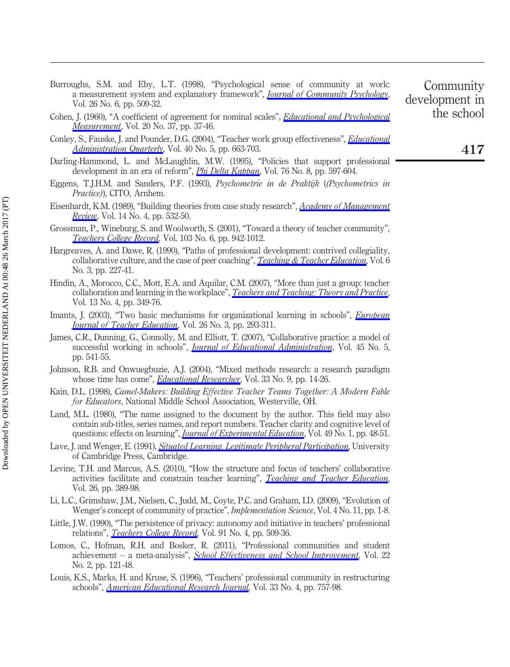- Burroughs, S.M. and Eby, L.T. (1998), "Psychological sense of community at work: a measurement system and explanatory framework", *[Journal of Community Psychology](http://www.emeraldinsight.com/action/showLinks?crossref=10.1002%2F%28SICI%291520-6629%28199811%2926%3A6%3C509%3A%3AAID-JCOP1%3E3.0.CO%3B2-P&isi=000076781500001)*, Vol. 26 No. 6, pp. 509-32.
- Cohen, J. (1960), "A coefficient of agreement for nominal scales", [Educational and Psychological](http://www.emeraldinsight.com/action/showLinks?crossref=10.1177%2F001316446002000104&isi=A1960CCC3600004) [Measurement](http://www.emeraldinsight.com/action/showLinks?crossref=10.1177%2F001316446002000104&isi=A1960CCC3600004), Vol. 20 No. 37, pp. 37-46.
- Conley, S., Fauske, J. and Pounder, D.G. (2004), "Teacher work group effectiveness", *[Educational](http://www.emeraldinsight.com/action/showLinks?crossref=10.1177%2F0013161X04268841&isi=000225125500003)* [Administration Quarterly](http://www.emeraldinsight.com/action/showLinks?crossref=10.1177%2F0013161X04268841&isi=000225125500003), Vol. 40 No. 5, pp. 663-703.
- Darling-Hammond, L. and McLaughlin, M.W. (1995), "Policies that support professional development in an era of reform", *[Phi Delta Kappan](http://www.emeraldinsight.com/action/showLinks?isi=A1995QR47000006)*, Vol. 76 No. 8, pp. 597-604.
- Eggens, T.J.H.M. and Sanders, P.F. (1993), Psychometrie in de Praktijk ((Psychometrics in Practice)), CITO, Arnhem.
- Eisenhardt, K.M. (1989), "Building theories from case study research", [Academy of Management](http://www.emeraldinsight.com/action/showLinks?isi=A1989AV14400005) *[Review](http://www.emeraldinsight.com/action/showLinks?isi=A1989AV14400005)*, Vol. 14 No. 4, pp. 532-50.
- Grossman, P., Wineburg, S. and Woolworth, S. (2001), "Toward a theory of teacher community", [Teachers College Record](http://www.emeraldinsight.com/action/showLinks?crossref=10.1111%2F0161-4681.00140&isi=000172707100002), Vol. 103 No. 6, pp. 942-1012.
- Hargreaves, A. and Dawe, R. (1990), "Paths of professional development: contrived collegiality, collaborative culture, and the case of peer coaching", *[Teaching & Teacher Education](http://www.emeraldinsight.com/action/showLinks?crossref=10.1016%2F0742-051X%2890%2990015-W&isi=A1990DZ97100003)*, Vol. 6 No. 3, pp. 227-41.
- Hindin, A., Morocco, C.C., Mott, E.A. and Aquilar, C.M. (2007), "More than just a group: teacher collaboration and learning in the workplace", [Teachers and Teaching: Theory and Practice](http://www.emeraldinsight.com/action/showLinks?crossref=10.1080%2F13540600701391911), Vol. 13 No. 4, pp. 349-76.
- Imants, J. (2003), "Two basic mechanisms for organizational learning in schools", *[European](http://www.emeraldinsight.com/action/showLinks?crossref=10.1080%2F0261976032000128157A)* [Journal of Teacher Education](http://www.emeraldinsight.com/action/showLinks?crossref=10.1080%2F0261976032000128157A), Vol. 26 No. 3, pp. 293-311.
- James, C.R., Dunning, G., Connolly, M. and Elliott, T. (2007), "Collaborative practice: a model of successful working in schools", *[Journal of Educational Administration](http://www.emeraldinsight.com/action/showLinks?system=10.1108%2F09578230710778187)*, Vol. 45 No. 5, pp. 541-55.
- Johnson, R.B. and Onwuegbuzie, A.J. (2004), "Mixed methods research: a research paradigm whose time has come", *[Educational Researcher](http://www.emeraldinsight.com/action/showLinks?crossref=10.3102%2F0013189X033007014)*, Vol. 33 No. 9, pp. 14-26.
- Kain, D.L. (1998), Camel-Makers: Building Effective Teacher Teams Together: A Modern Fable for Educators, National Middle School Association, Westerville, OH.
- Land, M.L. (1980), "The name assigned to the document by the author. This field may also contain sub-titles, series names, and report numbers. Teacher clarity and cognitive level of questions: effects on learning", *[Journal of Experimental Education](http://www.emeraldinsight.com/action/showLinks?crossref=10.1080%2F00220973.1980.11011762&isi=A1980KX81100010)*, Vol. 49 No. 1, pp. 48-51.
- Lave, J. and Wenger, E. (1991), *Situated Learning, Legitimate Peripheral Participation*, University of Cambridge Press, Cambridge.
- Levine, T.H. and Marcus, A.S. (2010), "How the structure and focus of teachers' collaborative activities facilitate and constrain teacher learning", *[Teaching and Teacher Education](http://www.emeraldinsight.com/action/showLinks?crossref=10.1016%2Fj.tate.2009.03.001&isi=000275614500003)*, Vol. 26, pp. 389-98.
- Li, L.C., Grimshaw, J.M., Nielsen, C., Judd, M., Coyte, P.C. and Graham, I.D. (2009), "Evolution of Wenger's concept of community of practice", *Implementation Science*, Vol. 4 No. 11, pp. 1-8.
- Little, J.W. (1990), "The persistence of privacy: autonomy and initiative in teachers' professional relations", *[Teachers College Record](http://www.emeraldinsight.com/action/showLinks?isi=A1990DE32100003)*, Vol. 91 No. 4, pp. 509-36.
- Lomos, C., Hofman, R.H. and Bosker, R. (2011), "Professional communities and student achievement – a meta-analysis", [School Effectiveness and School Improvement](http://www.emeraldinsight.com/action/showLinks?crossref=10.1080%2F09243453.2010.550467&isi=000290673000001), Vol. 22 No. 2, pp. 121-48.
- Louis, K.S., Marks, H. and Kruse, S. (1996), "Teachers' professional community in restructuring schools", *[American Educational Research Journal](http://www.emeraldinsight.com/action/showLinks?crossref=10.3102%2F00028312033004757&isi=A1996WD76900001)*, Vol. 33 No. 4, pp. 757-98.

the school

417

**Community** development in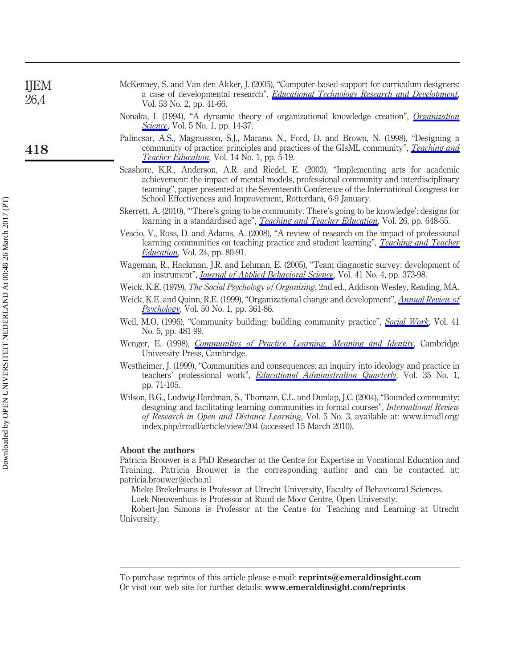| <b>IJEM</b><br>26,4 | McKenney, S. and Van den Akker, J. (2005), "Computer-based support for curriculum designers:<br>a case of developmental research", <i>Educational Technology Research and Development</i> ,<br>Vol. 53 No. 2, pp. 41-66.                                                     |
|---------------------|------------------------------------------------------------------------------------------------------------------------------------------------------------------------------------------------------------------------------------------------------------------------------|
|                     | Nonaka, I. (1994), "A dynamic theory of organizational knowledge creation", <i>Organization</i><br><i>Science</i> , Vol. 5 No. 1, pp. 14-37.                                                                                                                                 |
| 418                 | Palincsar, A.S., Magnusson, S.J., Marano, N., Ford, D. and Brown, N. (1998), "Designing a<br>community of practice: principles and practices of the GIsML community", <i>Teaching and</i><br><i>Teacher Education, Vol. 14 No. 1, pp. 5-19.</i>                              |
|                     | Seashore, K.R., Anderson, A.R. and Riedel, E. (2003), "Implementing arts for academic<br>achievement: the impact of mental models, professional community and interdisciplinary<br>teaming", paper presented at the Seventeenth Conference of the International Congress for |

School Effectiveness and Improvement, Rotterdam, 6-9 January.

- Skerrett, A. (2010), "'There's going to be community. There's going to be knowledge': designs for learning in a standardised age", *[Teaching and Teacher Education](http://www.emeraldinsight.com/action/showLinks?crossref=10.1016%2Fj.tate.2009.09.017&isi=000275614500032)*, Vol. 26, pp. 648-55.
- Vescio, V., Ross, D. and Adams, A. (2008), "A review of research on the impact of professional learning communities on teaching practice and student learning", [Teaching and Teacher](http://www.emeraldinsight.com/action/showLinks?crossref=10.1016%2Fj.tate.2007.01.004&isi=000253169800007) **[Education](http://www.emeraldinsight.com/action/showLinks?crossref=10.1016%2Fj.tate.2007.01.004&isi=000253169800007)**, Vol. 24, pp. 80-91.
- Wageman, R., Hackman, J.R. and Lehman, E. (2005), "Team diagnostic survey: development of an instrument", *[Journal of Applied Behavioral Science](http://www.emeraldinsight.com/action/showLinks?crossref=10.1177%2F0021886305281984)*, Vol. 41 No. 4, pp. 373-98.
- Weick, K.E. (1979), The Social Psychology of Organizing, 2nd ed., Addison-Wesley, Reading, MA.
- Weick, K.E. and Quinn, R.E. (1999), "Organizational change and development", *[Annual Review of](http://www.emeraldinsight.com/action/showLinks?crossref=10.1146%2Fannurev.psych.50.1.361&isi=000078701400015)* [Psychology](http://www.emeraldinsight.com/action/showLinks?crossref=10.1146%2Fannurev.psych.50.1.361&isi=000078701400015), Vol. 50 No. 1, pp. 361-86.
- Weil, M.O. (1996), "Community building: building community practice", [Social Work](http://www.emeraldinsight.com/action/showLinks?isi=A1996VM17400005), Vol. 41 No. 5, pp. 481-99.
- Wenger, E. (1998), [Communities of Practice. Learning, Meaning and Identity](http://www.emeraldinsight.com/action/showLinks?crossref=10.1017%2FCBO9780511803932), Cambridge University Press, Cambridge.
- Westheimer, J. (1999), "Communities and consequences: an inquiry into ideology and practice in teachers' professional work", *[Educational Administration Quarterly](http://www.emeraldinsight.com/action/showLinks?crossref=10.1177%2F00131619921968473&isi=000083241600004)*, Vol. 35 No. 1, pp. 71-105.
- Wilson, B.G., Ludwig-Hardman, S., Thornam, C.L. and Dunlap, J.C. (2004), "Bounded community: designing and facilitating learning communities in formal courses", *International Review* of Research in Open and Distance Learning, Vol. 5 No. 3, available at: www.irrodl.org/ index.php/irrodl/article/view/204 (accessed 15 March 2010).

#### About the authors

Patricia Brouwer is a PhD Researcher at the Centre for Expertise in Vocational Education and Training. Patricia Brouwer is the corresponding author and can be contacted at: patricia.brouwer@ecbo.nl

Mieke Brekelmans is Professor at Utrecht University, Faculty of Behavioural Sciences.

Loek Nieuwenhuis is Professor at Ruud de Moor Centre, Open University.

Robert-Jan Simons is Professor at the Centre for Teaching and Learning at Utrecht University.

To purchase reprints of this article please e-mail: reprints@emeraldinsight.com Or visit our web site for further details: www.emeraldinsight.com/reprints